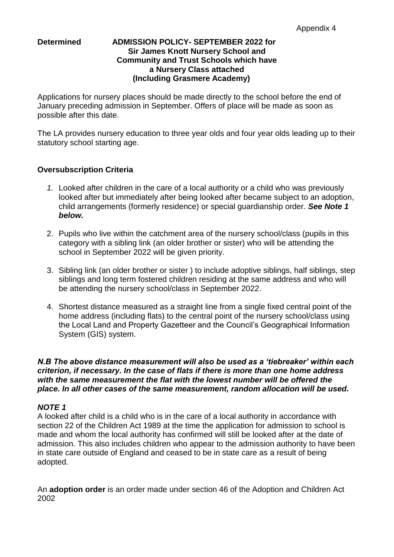# **Determined ADMISSION POLICY- SEPTEMBER 2022 for Sir James Knott Nursery School and Community and Trust Schools which have a Nursery Class attached (Including Grasmere Academy)**

Applications for nursery places should be made directly to the school before the end of January preceding admission in September. Offers of place will be made as soon as possible after this date.

The LA provides nursery education to three year olds and four year olds leading up to their statutory school starting age.

# **Oversubscription Criteria**

- *1.* Looked after children in the care of a local authority or a child who was previously looked after but immediately after being looked after became subject to an adoption, child arrangements (formerly residence) or special guardianship order. *See Note 1 below.*
- 2. Pupils who live within the catchment area of the nursery school/class (pupils in this category with a sibling link (an older brother or sister) who will be attending the school in September 2022 will be given priority.
- 3. Sibling link (an older brother or sister ) to include adoptive siblings, half siblings, step siblings and long term fostered children residing at the same address and who will be attending the nursery school/class in September 2022.
- 4. Shortest distance measured as a straight line from a single fixed central point of the home address (including flats) to the central point of the nursery school/class using the Local Land and Property Gazetteer and the Council's Geographical Information System (GIS) system.

### *N.B The above distance measurement will also be used as a 'tiebreaker' within each criterion, if necessary. In the case of flats if there is more than one home address with the same measurement the flat with the lowest number will be offered the place. In all other cases of the same measurement, random allocation will be used.*

# *NOTE 1*

A looked after child is a child who is in the care of a local authority in accordance with section 22 of the Children Act 1989 at the time the application for admission to school is made and whom the local authority has confirmed will still be looked after at the date of admission. This also includes children who appear to the admission authority to have been in state care outside of England and ceased to be in state care as a result of being adopted.

An **adoption order** is an order made under section 46 of the Adoption and Children Act 2002